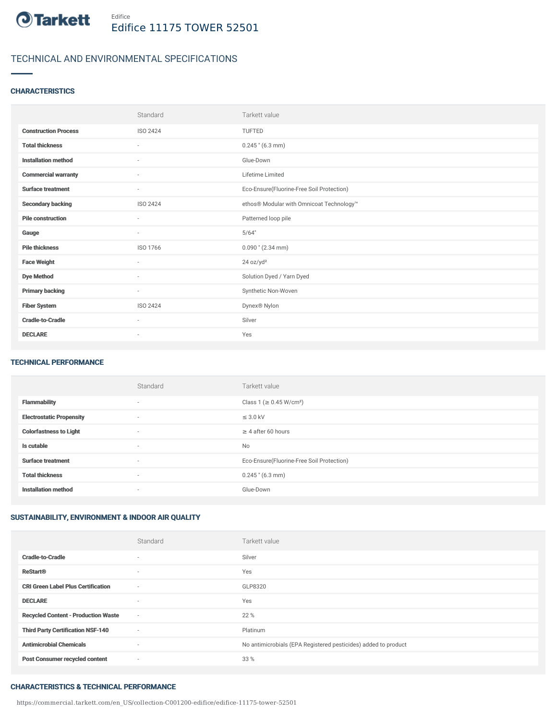

# TECHNICAL AND ENVIRONMENTAL SPECIFICATIONS

### **CHARACTERISTICS**

|                             | Standard                 | Tarkett value                             |
|-----------------------------|--------------------------|-------------------------------------------|
| <b>Construction Process</b> | <b>ISO 2424</b>          | <b>TUFTED</b>                             |
| <b>Total thickness</b>      | $\overline{\phantom{a}}$ | $0.245$ " (6.3 mm)                        |
| <b>Installation method</b>  | ٠                        | Glue-Down                                 |
| <b>Commercial warranty</b>  | ٠                        | Lifetime Limited                          |
| <b>Surface treatment</b>    | $\sim$                   | Eco-Ensure(Fluorine-Free Soil Protection) |
| <b>Secondary backing</b>    | <b>ISO 2424</b>          | ethos® Modular with Omnicoat Technology™  |
| <b>Pile construction</b>    | ٠                        | Patterned loop pile                       |
| Gauge                       | $\sim$                   | 5/64"                                     |
| <b>Pile thickness</b>       | ISO 1766                 | $0.090$ " (2.34 mm)                       |
| <b>Face Weight</b>          | ×                        | 24 oz/yd <sup>2</sup>                     |
| <b>Dye Method</b>           | ٠                        | Solution Dyed / Yarn Dyed                 |
| <b>Primary backing</b>      | $\overline{\phantom{a}}$ | Synthetic Non-Woven                       |
| <b>Fiber System</b>         | ISO 2424                 | Dynex <sup>®</sup> Nylon                  |
| <b>Cradle-to-Cradle</b>     | ٠                        | Silver                                    |
| <b>DECLARE</b>              | $\overline{\phantom{a}}$ | Yes                                       |

#### TECHNICAL PERFORMANCE

|                                 | Standard                 | Tarkett value                             |
|---------------------------------|--------------------------|-------------------------------------------|
| <b>Flammability</b>             | $\overline{\phantom{a}}$ | Class 1 (≥ 0.45 W/cm <sup>2</sup> )       |
| <b>Electrostatic Propensity</b> | $\overline{\phantom{a}}$ | $\leq$ 3.0 kV                             |
| <b>Colorfastness to Light</b>   | $\overline{\phantom{a}}$ | $\geq 4$ after 60 hours                   |
| Is cutable                      | $\sim$                   | <b>No</b>                                 |
| <b>Surface treatment</b>        | $\overline{\phantom{a}}$ | Eco-Ensure(Fluorine-Free Soil Protection) |
| <b>Total thickness</b>          | $\overline{\phantom{a}}$ | $0.245$ " (6.3 mm)                        |
| <b>Installation method</b>      | $\overline{\phantom{a}}$ | Glue-Down                                 |

# SUSTAINABILITY, ENVIRONMENT & INDOOR AIR QUALITY

|                                            | Standard                 | Tarkett value                                                  |
|--------------------------------------------|--------------------------|----------------------------------------------------------------|
| <b>Cradle-to-Cradle</b>                    | $\overline{\phantom{a}}$ | Silver                                                         |
| <b>ReStart®</b>                            | $\overline{\phantom{a}}$ | Yes                                                            |
| <b>CRI Green Label Plus Certification</b>  | $\sim$                   | GLP8320                                                        |
| <b>DECLARE</b>                             | $\overline{\phantom{a}}$ | Yes                                                            |
| <b>Recycled Content - Production Waste</b> | $\sim$                   | 22 %                                                           |
| <b>Third Party Certification NSF-140</b>   | $\sim$                   | Platinum                                                       |
| <b>Antimicrobial Chemicals</b>             | $\sim$                   | No antimicrobials (EPA Registered pesticides) added to product |
| <b>Post Consumer recycled content</b>      | $\sim$                   | 33 %                                                           |

#### CHARACTERISTICS & TECHNICAL PERFORMANCE

https://commercial.tarkett.com/en\_US/collection-C001200-edifice/edifice-11175-tower-52501